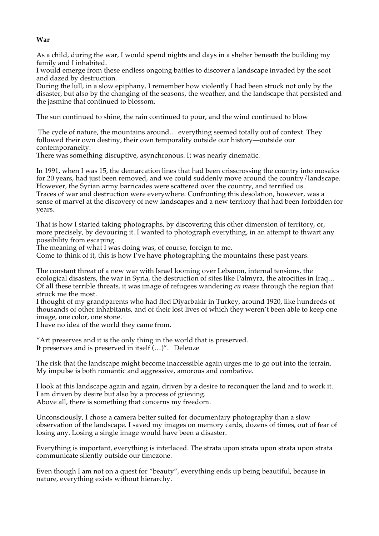## **War**

As a child, during the war, I would spend nights and days in a shelter beneath the building my family and I inhabited.

I would emerge from these endless ongoing battles to discover a landscape invaded by the soot and dazed by destruction.

During the lull, in a slow epiphany, I remember how violently I had been struck not only by the disaster, but also by the changing of the seasons, the weather, and the landscape that persisted and the jasmine that continued to blossom.

The sun continued to shine, the rain continued to pour, and the wind continued to blow

The cycle of nature, the mountains around… everything seemed totally out of context. They followed their own destiny, their own temporality outside our history—outside our contemporaneity.

There was something disruptive, asynchronous. It was nearly cinematic.

In 1991, when I was 15, the demarcation lines that had been crisscrossing the country into mosaics for 20 years, had just been removed, and we could suddenly move around the country/landscape. However, the Syrian army barricades were scattered over the country, and terrified us. Traces of war and destruction were everywhere. Confronting this desolation, however, was a sense of marvel at the discovery of new landscapes and a new territory that had been forbidden for years.

That is how I started taking photographs, by discovering this other dimension of territory, or, more precisely, by devouring it. I wanted to photograph everything, in an attempt to thwart any possibility from escaping.

The meaning of what I was doing was, of course, foreign to me.

Come to think of it, this is how I've have photographing the mountains these past years.

The constant threat of a new war with Israel looming over Lebanon, internal tensions, the ecological disasters, the war in Syria, the destruction of sites like Palmyra, the atrocities in Iraq… Of all these terrible threats, it was image of refugees wandering *en masse* through the region that struck me the most.

I thought of my grandparents who had fled Diyarbakir in Turkey, around 1920, like hundreds of thousands of other inhabitants, and of their lost lives of which they weren't been able to keep one image, one color, one stone.

I have no idea of the world they came from.

"Art preserves and it is the only thing in the world that is preserved. It preserves and is preserved in itself (…)". Deleuze

The risk that the landscape might become inaccessible again urges me to go out into the terrain. My impulse is both romantic and aggressive, amorous and combative.

I look at this landscape again and again, driven by a desire to reconquer the land and to work it. I am driven by desire but also by a process of grieving. Above all, there is something that concerns my freedom.

Unconsciously, I chose a camera better suited for documentary photography than a slow observation of the landscape. I saved my images on memory cards, dozens of times, out of fear of losing any. Losing a single image would have been a disaster.

Everything is important, everything is interlaced. The strata upon strata upon strata upon strata communicate silently outside our timezone.

Even though I am not on a quest for "beauty", everything ends up being beautiful, because in nature, everything exists without hierarchy.